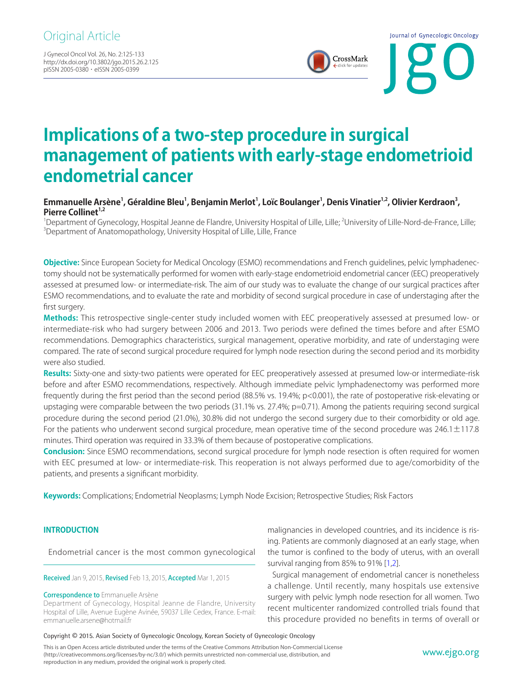J Gynecol Oncol Vol. 26, No. 2:125-133 http://dx.doi.org/10.3802/jgo.2015.26.2.125 pISSN 2005-0380 · eISSN 2005-0399



# **Implications of a two-step procedure in surgical management of patients with early-stage endometrioid endometrial cancer**

## Emmanuelle Arsène<sup>1</sup>, Géraldine Bleu<sup>1</sup>, Benjamin Merlot<sup>1</sup>, Loïc Boulanger<sup>1</sup>, Denis Vinatier<sup>1,2</sup>, Olivier Kerdraon<sup>3</sup>, Pierre Collinet<sup>1,2</sup>

<sup>1</sup>Department of Gynecology, Hospital Jeanne de Flandre, University Hospital of Lille, Lille; <sup>2</sup>University of Lille-Nord-de-France, Lille;<br><sup>3</sup>Department of Anatomopathology, University Hospital of Lille, Lille, France <sup>3</sup>Department of Anatomopathology, University Hospital of Lille, Lille, France

**Objective:** Since European Society for Medical Oncology (ESMO) recommendations and French guidelines, pelvic lymphadenectomy should not be systematically performed for women with early-stage endometrioid endometrial cancer (EEC) preoperatively assessed at presumed low- or intermediate-risk. The aim of our study was to evaluate the change of our surgical practices after ESMO recommendations, and to evaluate the rate and morbidity of second surgical procedure in case of understaging after the first surgery.

**Methods:** This retrospective single-center study included women with EEC preoperatively assessed at presumed low- or intermediate-risk who had surgery between 2006 and 2013. Two periods were defined the times before and after ESMO recommendations. Demographics characteristics, surgical management, operative morbidity, and rate of understaging were compared. The rate of second surgical procedure required for lymph node resection during the second period and its morbidity were also studied.

**Results:** Sixty-one and sixty-two patients were operated for EEC preoperatively assessed at presumed low-or intermediate-risk before and after ESMO recommendations, respectively. Although immediate pelvic lymphadenectomy was performed more frequently during the first period than the second period (88.5% vs. 19.4%; p<0.001), the rate of postoperative risk-elevating or upstaging were comparable between the two periods (31.1% vs. 27.4%; p=0.71). Among the patients requiring second surgical procedure during the second period (21.0%), 30.8% did not undergo the second surgery due to their comorbidity or old age. For the patients who underwent second surgical procedure, mean operative time of the second procedure was  $246.1 \pm 117.8$ minutes. Third operation was required in 33.3% of them because of postoperative complications.

**Conclusion:** Since ESMO recommendations, second surgical procedure for lymph node resection is often required for women with EEC presumed at low- or intermediate-risk. This reoperation is not always performed due to age/comorbidity of the patients, and presents a significant morbidity.

**Keywords:** Complications; Endometrial Neoplasms; Lymph Node Excision; Retrospective Studies; Risk Factors

#### **INTRODUCTION**

Endometrial cancer is the most common gynecological

Received Jan 9, 2015, Revised Feb 13, 2015, Accepted Mar 1, 2015

#### Correspondence to Emmanuelle Arsène

Department of Gynecology, Hospital Jeanne de Flandre, University Hospital of Lille, Avenue Eugène Avinée, 59037 Lille Cedex, France. E-mail: emmanuelle.arsene@hotmail.fr

malignancies in developed countries, and its incidence is rising. Patients are commonly diagnosed at an early stage, when the tumor is confined to the body of uterus, with an overall survival ranging from 85% to 91% [\[1](#page-7-0)[,2](#page-7-1)].

<span id="page-0-0"></span>Surgical management of endometrial cancer is nonetheless a challenge. Until recently, many hospitals use extensive surgery with pelvic lymph node resection for all women. Two recent multicenter randomized controlled trials found that this procedure provided no benefits in terms of overall or

#### Copyright © 2015. Asian Society of Gynecologic Oncology, Korean Society of Gynecologic Oncology

This is an Open Access article distributed under the terms of the Creative Commons Attribution Non-Commercial License (http://creativecommons.org/licenses/by-nc/3.0/) which permits unrestricted non-commercial use, distribution, and reproduction in any medium, provided the original work is properly cited.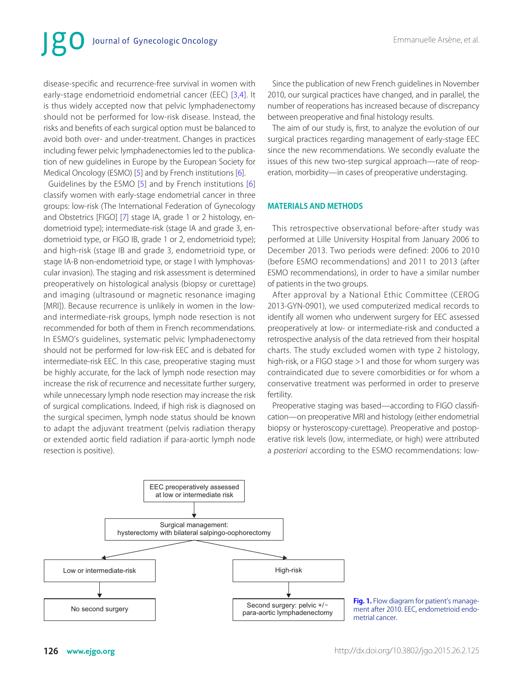# Journal of Gynecologic Oncology

<span id="page-1-1"></span>disease-specific and recurrence-free survival in women with early-stage endometrioid endometrial cancer (EEC) [\[3](#page-7-2)[,4\]](#page-7-3). It is thus widely accepted now that pelvic lymphadenectomy should not be performed for low-risk disease. Instead, the risks and benefits of each surgical option must be balanced to avoid both over- and under-treatment. Changes in practices including fewer pelvic lymphadenectomies led to the publication of new guidelines in Europe by the European Society for Medical Oncology (ESMO) [[5\]](#page-7-4) and by French institutions [\[6](#page-7-5)].

<span id="page-1-4"></span><span id="page-1-2"></span>Guidelines by the ESMO [[5](#page-7-4)] and by French institutions [\[6](#page-7-5)] classify women with early-stage endometrial cancer in three groups: low-risk (The International Federation of Gynecology and Obstetrics [FIGO] [\[7](#page-7-6)] stage IA, grade 1 or 2 histology, endometrioid type); intermediate-risk (stage IA and grade 3, endometrioid type, or FIGO IB, grade 1 or 2, endometrioid type); and high-risk (stage IB and grade 3, endometrioid type, or stage IA-B non-endometrioid type, or stage I with lymphovascular invasion). The staging and risk assessment is determined preoperatively on histological analysis (biopsy or curettage) and imaging (ultrasound or magnetic resonance imaging [MRI]). Because recurrence is unlikely in women in the lowand intermediate-risk groups, lymph node resection is not recommended for both of them in French recommendations. In ESMO's guidelines, systematic pelvic lymphadenectomy should not be performed for low-risk EEC and is debated for intermediate-risk EEC. In this case, preoperative staging must be highly accurate, for the lack of lymph node resection may increase the risk of recurrence and necessitate further surgery, while unnecessary lymph node resection may increase the risk of surgical complications. Indeed, if high risk is diagnosed on the surgical specimen, lymph node status should be known to adapt the adjuvant treatment (pelvis radiation therapy or extended aortic field radiation if para-aortic lymph node resection is positive).

Since the publication of new French guidelines in November 2010, our surgical practices have changed, and in parallel, the number of reoperations has increased because of discrepancy between preoperative and final histology results.

The aim of our study is, first, to analyze the evolution of our surgical practices regarding management of early-stage EEC since the new recommendations. We secondly evaluate the issues of this new two-step surgical approach—rate of reoperation, morbidity—in cases of preoperative understaging.

#### <span id="page-1-3"></span>**MATERIALS AND METHODS**

This retrospective observational before-after study was performed at Lille University Hospital from January 2006 to December 2013. Two periods were defined: 2006 to 2010 (before ESMO recommendations) and 2011 to 2013 (after ESMO recommendations), in order to have a similar number of patients in the two groups.

After approval by a National Ethic Committee (CEROG 2013-GYN-0901), we used computerized medical records to identify all women who underwent surgery for EEC assessed preoperatively at low- or intermediate-risk and conducted a retrospective analysis of the data retrieved from their hospital charts. The study excluded women with type 2 histology, high-risk, or a FIGO stage >1 and those for whom surgery was contraindicated due to severe comorbidities or for whom a conservative treatment was performed in order to preserve fertility.

Preoperative staging was based—according to FIGO classification—on preoperative MRI and histology (either endometrial biopsy or hysteroscopy-curettage). Preoperative and postoperative risk levels (low, intermediate, or high) were attributed a posteriori according to the ESMO recommendations: low-



<span id="page-1-0"></span>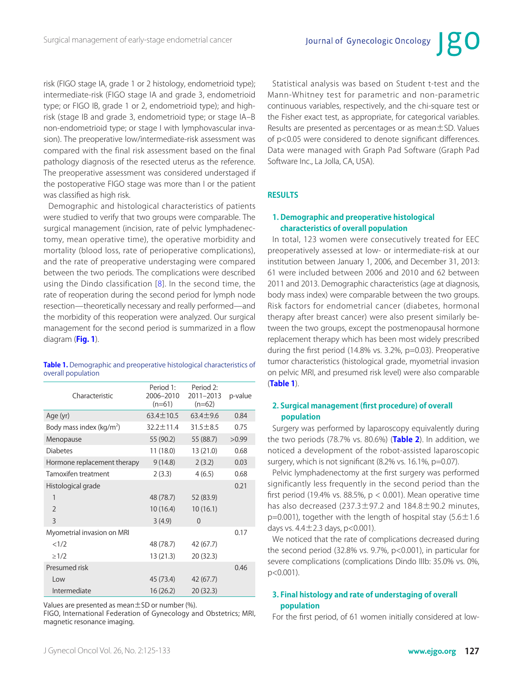risk (FIGO stage IA, grade 1 or 2 histology, endometrioid type); intermediate-risk (FIGO stage IA and grade 3, endometrioid type; or FIGO IB, grade 1 or 2, endometrioid type); and highrisk (stage IB and grade 3, endometrioid type; or stage IA–B non-endometrioid type; or stage I with lymphovascular invasion). The preoperative low/intermediate-risk assessment was compared with the final risk assessment based on the final pathology diagnosis of the resected uterus as the reference. The preoperative assessment was considered understaged if the postoperative FIGO stage was more than I or the patient was classified as high risk.

<span id="page-2-4"></span>Demographic and histological characteristics of patients were studied to verify that two groups were comparable. The surgical management (incision, rate of pelvic lymphadenectomy, mean operative time), the operative morbidity and mortality (blood loss, rate of perioperative complications), and the rate of preoperative understaging were compared between the two periods. The complications were described using the Dindo classification [[8\]](#page-7-7). In the second time, the rate of reoperation during the second period for lymph node resection—theoretically necessary and really performed—and the morbidity of this reoperation were analyzed. Our surgical management for the second period is summarized in a flow diagram (**[Fig. 1](#page-1-0)**).

<span id="page-2-1"></span><span id="page-2-0"></span>**[Table 1.](#page-2-2)** Demographic and preoperative histological characteristics of overall population

| Characteristic              | Period 1:<br>2006-2010<br>$(n=61)$ | Period 2:<br>2011-2013<br>$(n=62)$ | p-value |
|-----------------------------|------------------------------------|------------------------------------|---------|
| Age (yr)                    | $63.4 \pm 10.5$                    | $63.4 + 9.6$                       | 0.84    |
| Body mass index ( $kg/m2$ ) | $32.2 \pm 11.4$                    | $31.5 \pm 8.5$                     | 0.75    |
| Menopause                   | 55 (90.2)                          | 55 (88.7)                          | >0.99   |
| <b>Diabetes</b>             | 11 (18.0)                          | 13 (21.0)                          | 0.68    |
| Hormone replacement therapy | 9(14.8)                            | 2(3.2)                             | 0.03    |
| Tamoxifen treatment         | 2(3.3)                             | 4(6.5)                             | 0.68    |
| Histological grade          |                                    |                                    | 0.21    |
| 1                           | 48 (78.7)                          | 52 (83.9)                          |         |
| $\mathfrak{D}$              | 10(16.4)                           | 10(16.1)                           |         |
| $\overline{\mathcal{E}}$    | 3(4.9)                             | $\Omega$                           |         |
| Myometrial invasion on MRI  |                                    |                                    | 0.17    |
| <1/2                        | 48 (78.7)                          | 42 (67.7)                          |         |
| $\geq$ 1/2                  | 13 (21.3)                          | 20 (32.3)                          |         |
| Presumed risk               |                                    |                                    | 0.46    |
| Low                         | 45 (73.4)                          | 42 (67.7)                          |         |
| Intermediate                | 16(26.2)                           | 20(32.3)                           |         |

Values are presented as mean  $\pm$  SD or number (%).

FIGO, International Federation of Gynecology and Obstetrics; MRI, magnetic resonance imaging.

Statistical analysis was based on Student t-test and the Mann-Whitney test for parametric and non-parametric continuous variables, respectively, and the chi-square test or the Fisher exact test, as appropriate, for categorical variables. Results are presented as percentages or as mean±SD. Values of p<0.05 were considered to denote significant differences. Data were managed with Graph Pad Software (Graph Pad Software Inc., La Jolla, CA, USA).

#### **RESULTS**

### **1. Demographic and preoperative histological characteristics of overall population**

In total, 123 women were consecutively treated for EEC preoperatively assessed at low- or intermediate-risk at our institution between January 1, 2006, and December 31, 2013: 61 were included between 2006 and 2010 and 62 between 2011 and 2013. Demographic characteristics (age at diagnosis, body mass index) were comparable between the two groups. Risk factors for endometrial cancer (diabetes, hormonal therapy after breast cancer) were also present similarly between the two groups, except the postmenopausal hormone replacement therapy which has been most widely prescribed during the first period (14.8% vs. 3.2%, p=0.03). Preoperative tumor characteristics (histological grade, myometrial invasion on pelvic MRI, and presumed risk level) were also comparable (**[Table 1](#page-2-1)**).

#### <span id="page-2-2"></span>**2. Surgical management (first procedure) of overall population**

<span id="page-2-3"></span>Surgery was performed by laparoscopy equivalently during the two periods (78.7% vs. 80.6%) (**[Table 2](#page-3-0)**). In addition, we noticed a development of the robot-assisted laparoscopic surgery, which is not significant (8.2% vs. 16.1%, p=0.07).

Pelvic lymphadenectomy at the first surgery was performed significantly less frequently in the second period than the first period (19.4% vs. 88.5%,  $p < 0.001$ ). Mean operative time has also decreased (237.3 $\pm$ 97.2 and 184.8 $\pm$ 90.2 minutes,  $p=0.001$ ), together with the length of hospital stay (5.6  $\pm$ 1.6 days vs.  $4.4 \pm 2.3$  days, p<0.001).

We noticed that the rate of complications decreased during the second period (32.8% vs. 9.7%, p<0.001), in particular for severe complications (complications Dindo IIIb: 35.0% vs. 0%, p<0.001).

#### **3. Final histology and rate of understaging of overall population**

For the first period, of 61 women initially considered at low-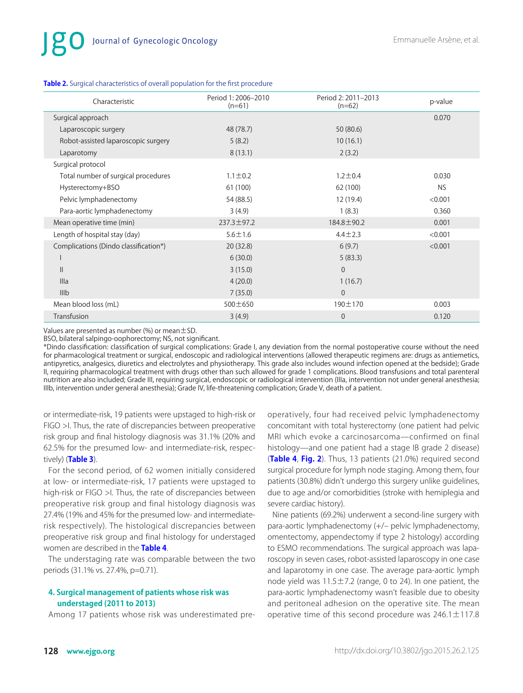| Characteristic                        | Period 1: 2006-2010<br>$(n=61)$ | Period 2: 2011-2013<br>$(n=62)$ | p-value |
|---------------------------------------|---------------------------------|---------------------------------|---------|
| Surgical approach                     |                                 |                                 | 0.070   |
| Laparoscopic surgery                  | 48 (78.7)                       | 50 (80.6)                       |         |
| Robot-assisted laparoscopic surgery   | 5(8.2)                          | 10(16.1)                        |         |
| Laparotomy                            | 8(13.1)                         | 2(3.2)                          |         |
| Surgical protocol                     |                                 |                                 |         |
| Total number of surgical procedures   | $1.1 \pm 0.2$                   | $1.2 \pm 0.4$                   | 0.030   |
| Hysterectomy+BSO                      | 61 (100)                        | 62 (100)                        | NS.     |
| Pelvic lymphadenectomy                | 54 (88.5)                       | 12 (19.4)                       | < 0.001 |
| Para-aortic lymphadenectomy           | 3(4.9)                          | 1(8.3)                          | 0.360   |
| Mean operative time (min)             | 237.3±97.2                      | 184.8±90.2                      | 0.001   |
| Length of hospital stay (day)         | $5.6 \pm 1.6$                   | $4.4 \pm 2.3$                   | < 0.001 |
| Complications (Dindo classification*) | 20(32.8)                        | 6(9.7)                          | < 0.001 |
| ı                                     | 6(30.0)                         | 5(83.3)                         |         |
| $\mathsf{II}$                         | 3(15.0)                         | $\overline{0}$                  |         |
| Illa                                  | 4(20.0)                         | 1(16.7)                         |         |
| IIIb                                  | 7(35.0)                         | $\overline{0}$                  |         |
| Mean blood loss (mL)                  | 500±650                         | $190 \pm 170$                   | 0.003   |
| Transfusion                           | 3(4.9)                          | $\overline{0}$                  | 0.120   |

#### <span id="page-3-0"></span>**[Table 2.](#page-2-3)** Surgical characteristics of overall population for the first procedure

Values are presented as number  $%$  or mean  $\pm$  SD.

BSO, bilateral salpingo-oophorectomy; NS, not significant.

\*Dindo classification: classification of surgical complications: Grade I, any deviation from the normal postoperative course without the need for pharmacological treatment or surgical, endoscopic and radiological interventions (allowed therapeutic regimens are: drugs as antiemetics, antipyretics, analgesics, diuretics and electrolytes and physiotherapy. This grade also includes wound infection opened at the bedside); Grade II, requiring pharmacological treatment with drugs other than such allowed for grade 1 complications. Blood transfusions and total parenteral nutrition are also included; Grade III, requiring surgical, endoscopic or radiological intervention (IIIa, intervention not under general anesthesia; IIIb, intervention under general anesthesia); Grade IV, life-threatening complication; Grade V, death of a patient.

or intermediate-risk, 19 patients were upstaged to high-risk or FIGO >I. Thus, the rate of discrepancies between preoperative risk group and final histology diagnosis was 31.1% (20% and 62.5% for the presumed low- and intermediate-risk, respectively) (**[Table 3](#page-4-0)**).

<span id="page-3-1"></span>For the second period, of 62 women initially considered at low- or intermediate-risk, 17 patients were upstaged to high-risk or FIGO >I. Thus, the rate of discrepancies between preoperative risk group and final histology diagnosis was 27.4% (19% and 45% for the presumed low- and intermediaterisk respectively). The histological discrepancies between preoperative risk group and final histology for understaged women are described in the **[Table 4](#page-4-1)**.

<span id="page-3-2"></span>The understaging rate was comparable between the two periods (31.1% vs. 27.4%, p=0.71).

#### **4. Surgical management of patients whose risk was understaged (2011 to 2013)**

Among 17 patients whose risk was underestimated pre-

<span id="page-3-3"></span>operatively, four had received pelvic lymphadenectomy concomitant with total hysterectomy (one patient had pelvic MRI which evoke a carcinosarcoma—confirmed on final histology—and one patient had a stage IB grade 2 disease) (**[Table 4](#page-4-1)**, **[Fig. 2](#page-5-0)**). Thus, 13 patients (21.0%) required second surgical procedure for lymph node staging. Among them, four patients (30.8%) didn't undergo this surgery unlike guidelines, due to age and/or comorbidities (stroke with hemiplegia and severe cardiac history).

Nine patients (69.2%) underwent a second-line surgery with para-aortic lymphadenectomy (+/– pelvic lymphadenectomy, omentectomy, appendectomy if type 2 histology) according to ESMO recommendations. The surgical approach was laparoscopy in seven cases, robot-assisted laparoscopy in one case and laparotomy in one case. The average para-aortic lymph node yield was  $11.5 \pm 7.2$  (range, 0 to 24). In one patient, the para-aortic lymphadenectomy wasn't feasible due to obesity and peritoneal adhesion on the operative site. The mean operative time of this second procedure was  $246.1 \pm 117.8$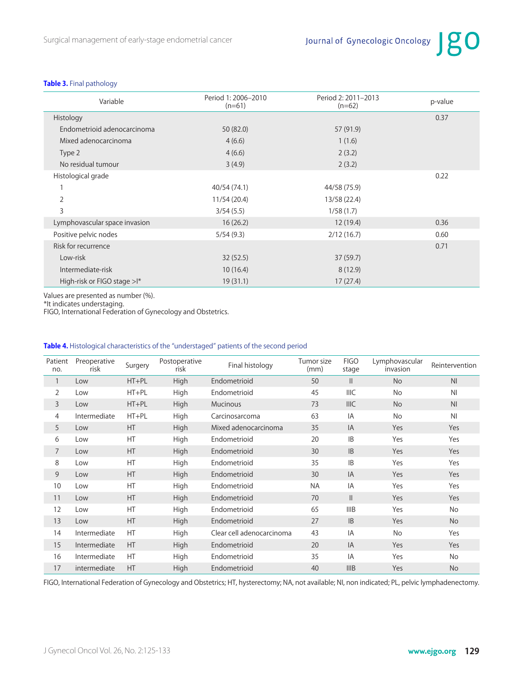#### <span id="page-4-0"></span>**[Table 3.](#page-3-1)** Final pathology

| Variable                       | Period 2: 2011-2013<br>Period 1: 2006-2010<br>$(n=61)$<br>$(n=62)$ |              | p-value |
|--------------------------------|--------------------------------------------------------------------|--------------|---------|
| Histology                      |                                                                    |              | 0.37    |
| Endometrioid adenocarcinoma    | 50 (82.0)                                                          | 57 (91.9)    |         |
| Mixed adenocarcinoma           | 4(6.6)                                                             | 1(1.6)       |         |
| Type 2                         | 4(6.6)                                                             | 2(3.2)       |         |
| No residual tumour             | 3(4.9)                                                             | 2(3.2)       |         |
| Histological grade             |                                                                    |              | 0.22    |
| 1                              | 40/54 (74.1)                                                       | 44/58 (75.9) |         |
| $\overline{2}$                 | 11/54 (20.4)                                                       | 13/58 (22.4) |         |
| 3                              | 3/54(5.5)                                                          | 1/58(1.7)    |         |
| Lymphovascular space invasion  | 16(26.2)                                                           | 12(19.4)     | 0.36    |
| Positive pelvic nodes          | 5/54(9.3)                                                          | 2/12(16.7)   | 0.60    |
| Risk for recurrence            |                                                                    |              | 0.71    |
| Low-risk                       | 32(52.5)                                                           | 37(59.7)     |         |
| Intermediate-risk              | 10(16.4)                                                           | 8(12.9)      |         |
| High-risk or FIGO stage $>1^*$ | 19(31.1)                                                           | 17(27.4)     |         |

Values are presented as number (%).

\*It indicates understaging.

FIGO, International Federation of Gynecology and Obstetrics.

#### <span id="page-4-1"></span>**[Table 4.](#page-3-2)** Histological characteristics of the "understaged" patients of the second period

| Patient<br>no. | Preoperative<br>risk | Surgery   | Postoperative<br>risk | Final histology           | Tumor size<br>(mm) | <b>FIGO</b><br>stage | Lymphovascular<br>invasion | Reintervention |
|----------------|----------------------|-----------|-----------------------|---------------------------|--------------------|----------------------|----------------------------|----------------|
| 1              | Low                  | $HT + PL$ | High                  | Endometrioid              | 50                 | $\mathsf{II}$        | <b>No</b>                  | N <sub>l</sub> |
| $\overline{2}$ | Low                  | $HT + PL$ | High                  | Endometrioid              | 45                 | <b>IIIC</b>          | <b>No</b>                  | N <sub>1</sub> |
| 3              | Low                  | $HT + PL$ | <b>High</b>           | <b>Mucinous</b>           | 73                 | <b>IIIC</b>          | <b>No</b>                  | N <sub>l</sub> |
| 4              | Intermediate         | $HT + PL$ | High                  | Carcinosarcoma            | 63                 | IA                   | <b>No</b>                  | N <sub>1</sub> |
| 5              | Low                  | HT        | High                  | Mixed adenocarcinoma      | 35                 | IA                   | Yes                        | Yes            |
| 6              | Low                  | HT        | High                  | Endometrioid              | 20                 | <b>IB</b>            | Yes                        | Yes            |
| $\overline{7}$ | Low                  | HT        | <b>High</b>           | Endometrioid              | 30                 | IB                   | Yes                        | Yes            |
| 8              | Low                  | HT        | High                  | Endometrioid              | 35                 | <b>IB</b>            | Yes                        | Yes            |
| 9              | Low                  | HT        | High                  | Endometrioid              | 30                 | IA                   | Yes                        | Yes            |
| 10             | Low                  | HT        | High                  | Endometrioid              | <b>NA</b>          | IA                   | Yes                        | Yes            |
| 11             | Low                  | HT        | High                  | Endometrioid              | 70                 | $\mathbf{I}$         | Yes                        | Yes            |
| 12             | Low                  | HT        | High                  | Endometrioid              | 65                 | IIIB                 | Yes                        | No             |
| 13             | Low                  | HT        | High                  | Endometrioid              | 27                 | IB                   | Yes                        | <b>No</b>      |
| 14             | Intermediate         | HT        | High                  | Clear cell adenocarcinoma | 43                 | IA                   | <b>No</b>                  | Yes            |
| 15             | Intermediate         | HT        | High                  | Endometrioid              | 20                 | IA                   | Yes                        | Yes            |
| 16             | Intermediate         | HT        | High                  | Endometrioid              | 35                 | IA                   | Yes                        | No             |
| 17             | intermediate         | HT        | High                  | Endometrioid              | 40                 | <b>IIIB</b>          | Yes                        | <b>No</b>      |

FIGO, International Federation of Gynecology and Obstetrics; HT, hysterectomy; NA, not available; NI, non indicated; PL, pelvic lymphadenectomy.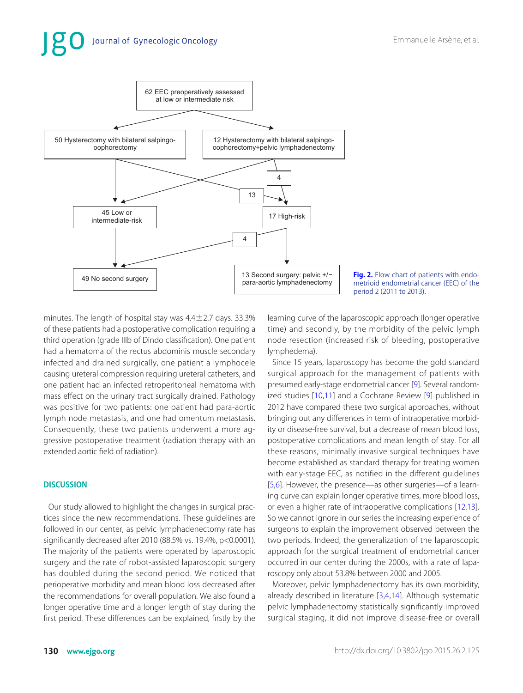

<span id="page-5-0"></span>**[Fig. 2.](#page-3-3)** Flow chart of patients with endometrioid endometrial cancer (EEC) of the period 2 (2011 to 2013).

minutes. The length of hospital stay was  $4.4 \pm 2.7$  days. 33.3% of these patients had a postoperative complication requiring a third operation (grade IIIb of Dindo classification). One patient had a hematoma of the rectus abdominis muscle secondary infected and drained surgically, one patient a lymphocele causing ureteral compression requiring ureteral catheters, and one patient had an infected retroperitoneal hematoma with mass effect on the urinary tract surgically drained. Pathology was positive for two patients: one patient had para-aortic lymph node metastasis, and one had omentum metastasis. Consequently, these two patients underwent a more aggressive postoperative treatment (radiation therapy with an extended aortic field of radiation).

#### **DISCUSSION**

Our study allowed to highlight the changes in surgical practices since the new recommendations. These guidelines are followed in our center, as pelvic lymphadenectomy rate has significantly decreased after 2010 (88.5% vs. 19.4%, p<0.0001). The majority of the patients were operated by laparoscopic surgery and the rate of robot-assisted laparoscopic surgery has doubled during the second period. We noticed that perioperative morbidity and mean blood loss decreased after the recommendations for overall population. We also found a longer operative time and a longer length of stay during the first period. These differences can be explained, firstly by the learning curve of the laparoscopic approach (longer operative time) and secondly, by the morbidity of the pelvic lymph node resection (increased risk of bleeding, postoperative lymphedema).

<span id="page-5-2"></span><span id="page-5-1"></span>Since 15 years, laparoscopy has become the gold standard surgical approach for the management of patients with presumed early-stage endometrial cancer [\[9](#page-7-8)]. Several random-ized studies [[10,](#page-7-9)[11\]](#page-7-10) and a Cochrane Review [\[9](#page-7-8)] published in 2012 have compared these two surgical approaches, without bringing out any differences in term of intraoperative morbidity or disease-free survival, but a decrease of mean blood loss, postoperative complications and mean length of stay. For all these reasons, minimally invasive surgical techniques have become established as standard therapy for treating women with early-stage EEC, as notified in the different guidelines [[5,](#page-7-4)[6\]](#page-7-5). However, the presence—as other surgeries—of a learning curve can explain longer operative times, more blood loss, or even a higher rate of intraoperative complications [\[12](#page-7-11),[13\]](#page-7-12). So we cannot ignore in our series the increasing experience of surgeons to explain the improvement observed between the two periods. Indeed, the generalization of the laparoscopic approach for the surgical treatment of endometrial cancer occurred in our center during the 2000s, with a rate of laparoscopy only about 53.8% between 2000 and 2005.

<span id="page-5-4"></span><span id="page-5-3"></span>Moreover, pelvic lymphadenectomy has its own morbidity, already described in literature [[3,](#page-7-2)[4,](#page-7-3)[14\]](#page-7-13). Although systematic pelvic lymphadenectomy statistically significantly improved surgical staging, it did not improve disease-free or overall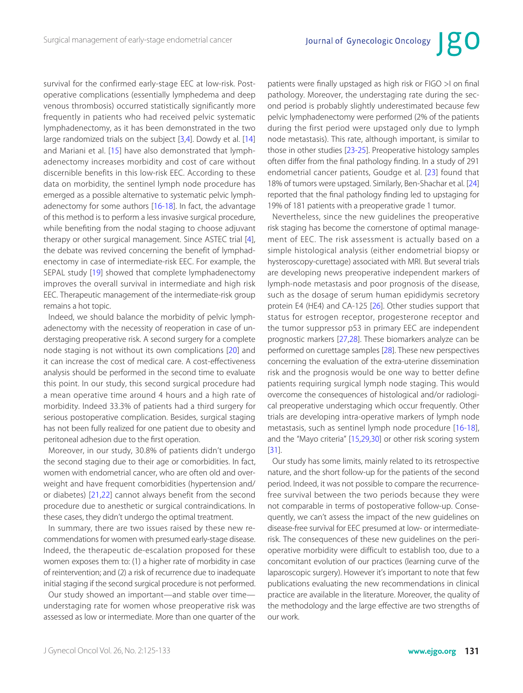<span id="page-6-0"></span>survival for the confirmed early-stage EEC at low-risk. Postoperative complications (essentially lymphedema and deep venous thrombosis) occurred statistically significantly more frequently in patients who had received pelvic systematic lymphadenectomy, as it has been demonstrated in the two large randomized trials on the subject [[3,](#page-7-2)[4\]](#page-7-3). Dowdy et al. [[14](#page-7-13)] and Mariani et al. [[15\]](#page-7-14) have also demonstrated that lymphadenectomy increases morbidity and cost of care without discernible benefits in this low-risk EEC. According to these data on morbidity, the sentinel lymph node procedure has emerged as a possible alternative to systematic pelvic lymphadenectomy for some authors [[16-18\]](#page-7-15). In fact, the advantage of this method is to perform a less invasive surgical procedure, while benefiting from the nodal staging to choose adjuvant therapy or other surgical management. Since ASTEC trial [[4](#page-7-3)], the debate was revived concerning the benefit of lymphadenectomy in case of intermediate-risk EEC. For example, the SEPAL study [[19\]](#page-7-16) showed that complete lymphadenectomy improves the overall survival in intermediate and high risk EEC. Therapeutic management of the intermediate-risk group remains a hot topic.

<span id="page-6-3"></span><span id="page-6-2"></span><span id="page-6-1"></span>Indeed, we should balance the morbidity of pelvic lymphadenectomy with the necessity of reoperation in case of understaging preoperative risk. A second surgery for a complete node staging is not without its own complications [[20\]](#page-7-17) and it can increase the cost of medical care. A cost-effectiveness analysis should be performed in the second time to evaluate this point. In our study, this second surgical procedure had a mean operative time around 4 hours and a high rate of morbidity. Indeed 33.3% of patients had a third surgery for serious postoperative complication. Besides, surgical staging has not been fully realized for one patient due to obesity and peritoneal adhesion due to the first operation.

Moreover, in our study, 30.8% of patients didn't undergo the second staging due to their age or comorbidities. In fact, women with endometrial cancer, who are often old and overweight and have frequent comorbidities (hypertension and/ or diabetes) [[21,](#page-7-18)[22\]](#page-7-19) cannot always benefit from the second procedure due to anesthetic or surgical contraindications. In these cases, they didn't undergo the optimal treatment.

<span id="page-6-4"></span>In summary, there are two issues raised by these new recommendations for women with presumed early-stage disease. Indeed, the therapeutic de-escalation proposed for these women exposes them to: (1) a higher rate of morbidity in case of reintervention; and (2) a risk of recurrence due to inadequate initial staging if the second surgical procedure is not performed.

Our study showed an important—and stable over time understaging rate for women whose preoperative risk was assessed as low or intermediate. More than one quarter of the <span id="page-6-5"></span>patients were finally upstaged as high risk or FIGO >I on final pathology. Moreover, the understaging rate during the second period is probably slightly underestimated because few pelvic lymphadenectomy were performed (2% of the patients during the first period were upstaged only due to lymph node metastasis). This rate, although important, is similar to those in other studies [[23-25\]](#page-8-0). Preoperative histology samples often differ from the final pathology finding. In a study of 291 endometrial cancer patients, Goudge et al. [[23](#page-8-0)] found that 18% of tumors were upstaged. Similarly, Ben-Shachar et al. [[24\]](#page-8-1) reported that the final pathology finding led to upstaging for 19% of 181 patients with a preoperative grade 1 tumor.

<span id="page-6-7"></span><span id="page-6-6"></span>Nevertheless, since the new guidelines the preoperative risk staging has become the cornerstone of optimal management of EEC. The risk assessment is actually based on a simple histological analysis (either endometrial biopsy or hysteroscopy-curettage) associated with MRI. But several trials are developing news preoperative independent markers of lymph-node metastasis and poor prognosis of the disease, such as the dosage of serum human epididymis secretory protein E4 (HE4) and CA-125 [[26\]](#page-8-2). Other studies support that status for estrogen receptor, progesterone receptor and the tumor suppressor p53 in primary EEC are independent prognostic markers [\[27](#page-8-3),[28\]](#page-7-7). These biomarkers analyze can be performed on curettage samples [\[28](#page-8-4)]. These new perspectives concerning the evaluation of the extra-uterine dissemination risk and the prognosis would be one way to better define patients requiring surgical lymph node staging. This would overcome the consequences of histological and/or radiological preoperative understaging which occur frequently. Other trials are developing intra-operative markers of lymph node metastasis, such as sentinel lymph node procedure [\[16-18\]](#page-7-15), and the "Mayo criteria" [\[15,](#page-7-14)[29,](#page-8-5)[30](#page-8-6)] or other risk scoring system [[31\]](#page-8-7).

<span id="page-6-9"></span><span id="page-6-8"></span>Our study has some limits, mainly related to its retrospective nature, and the short follow-up for the patients of the second period. Indeed, it was not possible to compare the recurrencefree survival between the two periods because they were not comparable in terms of postoperative follow-up. Consequently, we can't assess the impact of the new guidelines on disease-free survival for EEC presumed at low- or intermediaterisk. The consequences of these new guidelines on the perioperative morbidity were difficult to establish too, due to a concomitant evolution of our practices (learning curve of the laparoscopic surgery). However it's important to note that few publications evaluating the new recommendations in clinical practice are available in the literature. Moreover, the quality of the methodology and the large effective are two strengths of our work.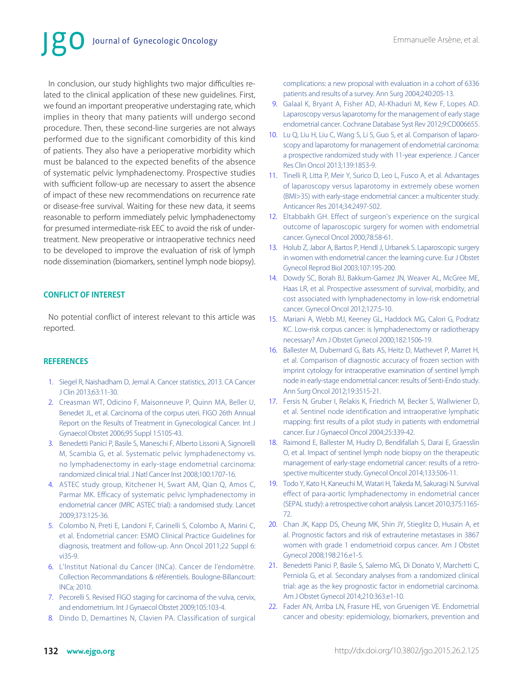# Journal of Gynecologic Oncology

In conclusion, our study highlights two major difficulties related to the clinical application of these new guidelines. First, we found an important preoperative understaging rate, which implies in theory that many patients will undergo second procedure. Then, these second-line surgeries are not always performed due to the significant comorbidity of this kind of patients. They also have a perioperative morbidity which must be balanced to the expected benefits of the absence of systematic pelvic lymphadenectomy. Prospective studies with sufficient follow-up are necessary to assert the absence of impact of these new recommendations on recurrence rate or disease-free survival. Waiting for these new data, it seems reasonable to perform immediately pelvic lymphadenectomy for presumed intermediate-risk EEC to avoid the risk of undertreatment. New preoperative or intraoperative technics need to be developed to improve the evaluation of risk of lymph node dissemination (biomarkers, sentinel lymph node biopsy).

### **CONFLICT OF INTEREST**

No potential conflict of interest relevant to this article was reported.

#### **REFERENCES**

- <span id="page-7-0"></span>[1.](#page-0-0) [Siegel R, Naishadham D, Jemal A. Cancer statistics, 2013. CA Cancer](http://www.ncbi.nlm.nih.gov/pubmed/23335087)  J Clin 2013;63:11-30.
- <span id="page-7-1"></span>[2.](#page-0-0) [Creasman WT, Odicino F, Maisonneuve P, Quinn MA, Beller U,](http://www.ncbi.nlm.nih.gov/pubmed/17161155)  Benedet JL, et al. Carcinoma of the corpus uteri. FIGO 26th Annual Report on the Results of Treatment in Gynecological Cancer. Int J Gynaecol Obstet 2006;95 Suppl 1:S105-43.
- <span id="page-7-2"></span>[3.](#page-1-1) [Benedetti Panici P, Basile S, Maneschi F, Alberto Lissoni A, Signorelli](http://www.ncbi.nlm.nih.gov/pubmed/19033573)  M, Scambia G, et al. Systematic pelvic lymphadenectomy vs. no lymphadenectomy in early-stage endometrial carcinoma: randomized clinical trial. J Natl Cancer Inst 2008;100:1707-16.
- <span id="page-7-3"></span>[4.](#page-1-1) [ASTEC study group, Kitchener H, Swart AM, Qian Q, Amos C,](http://www.ncbi.nlm.nih.gov/pubmed/19070889)  Parmar MK. Efficacy of systematic pelvic lymphadenectomy in endometrial cancer (MRC ASTEC trial): a randomised study. Lancet 2009;373:125-36.
- <span id="page-7-4"></span>[5.](#page-1-2) [Colombo N, Preti E, Landoni F, Carinelli S, Colombo A, Marini C,](http://www.ncbi.nlm.nih.gov/pubmed/21908501)  et al. Endometrial cancer: ESMO Clinical Practice Guidelines for diagnosis, treatment and follow-up. Ann Oncol 2011;22 Suppl 6: vi35-9.
- <span id="page-7-5"></span>[6.](#page-1-3) L'Institut National du Cancer (INCa). Cancer de l'endomètre. Collection Recommandations & référentiels. Boulogne-Billancourt: INCa; 2010.
- <span id="page-7-6"></span>[7.](#page-1-4) [Pecorelli S. Revised FIGO staging for carcinoma of the vulva, cervix,](http://www.ncbi.nlm.nih.gov/pubmed/19367689)  and endometrium. Int J Gynaecol Obstet 2009;105:103-4.
- <span id="page-7-7"></span>[8.](#page-2-4) [Dindo D, Demartines N, Clavien PA. Classification of surgical](http://www.ncbi.nlm.nih.gov/pubmed/15273542)

[complications: a new proposal with evaluation in a cohort of 6336](http://www.ncbi.nlm.nih.gov/pubmed/15273542) patients and results of a survey. Ann Surg 2004;240:205-13.

- <span id="page-7-8"></span>[9.](#page-5-1) [Galaal K, Bryant A, Fisher AD, Al-Khaduri M, Kew F, Lopes AD.](http://www.ncbi.nlm.nih.gov/pubmed/22972096)  Laparoscopy versus laparotomy for the management of early stage endometrial cancer. Cochrane Database Syst Rev 2012;9:CD006655.
- <span id="page-7-9"></span>[10.](#page-5-2) [Lu Q, Liu H, Liu C, Wang S, Li S, Guo S, et al. Comparison of laparo](http://www.ncbi.nlm.nih.gov/pubmed/24061340)scopy and laparotomy for management of endometrial carcinoma: a prospective randomized study with 11-year experience. J Cancer Res Clin Oncol 2013;139:1853-9.
- <span id="page-7-10"></span>[11.](#page-5-2) [Tinelli R, Litta P, Meir Y, Surico D, Leo L, Fusco A, et al. Advantages](http://www.ncbi.nlm.nih.gov/pubmed/24778066) of laparoscopy versus laparotomy in extremely obese women (BMI>35) with early-stage endometrial cancer: a multicenter study. Anticancer Res 2014;34:2497-502.
- <span id="page-7-11"></span>[12.](#page-5-3) [Eltabbakh GH. Effect of surgeon's experience on the surgical](http://www.ncbi.nlm.nih.gov/pubmed/10873411)  outcome of laparoscopic surgery for women with endometrial cancer. Gynecol Oncol 2000;78:58-61.
- <span id="page-7-12"></span>[13.](#page-5-3) [Holub Z, Jabor A, Bartos P, Hendl J, Urbanek S. Laparoscopic surgery](http://www.ncbi.nlm.nih.gov/pubmed/12648868) in women with endometrial cancer: the learning curve. Eur J Obstet Gynecol Reprod Biol 2003;107:195-200.
- <span id="page-7-13"></span>[14.](#page-5-4) [Dowdy SC, Borah BJ, Bakkum-Gamez JN, Weaver AL, McGree ME,](http://www.ncbi.nlm.nih.gov/pubmed/22771890) Haas LR, et al. Prospective assessment of survival, morbidity, and cost associated with lymphadenectomy in low-risk endometrial cancer. Gynecol Oncol 2012;127:5-10.
- <span id="page-7-14"></span>[15.](#page-6-0) [Mariani A, Webb MJ, Keeney GL, Haddock MG, Calori G, Podratz](http://www.ncbi.nlm.nih.gov/pubmed/10871473)  KC. Low-risk corpus cancer: is lymphadenectomy or radiotherapy necessary? Am J Obstet Gynecol 2000;182:1506-19.
- <span id="page-7-15"></span>[16.](#page-6-1) [Ballester M, Dubernard G, Bats AS, Heitz D, Mathevet P, Marret H,](http://www.ncbi.nlm.nih.gov/pubmed/22576066)  et al. Comparison of diagnostic accuracy of frozen section with imprint cytology for intraoperative examination of sentinel lymph node in early-stage endometrial cancer: results of Senti-Endo study. Ann Surg Oncol 2012;19:3515-21.
- [17.](#page-6-1) [Fersis N, Gruber I, Relakis K, Friedrich M, Becker S, Wallwiener D,](http://www.ncbi.nlm.nih.gov/pubmed/15171314) et al. Sentinel node identification and intraoperative lymphatic mapping: first results of a pilot study in patients with endometrial cancer. Eur J Gynaecol Oncol 2004;25:339-42.
- [18.](#page-6-1) [Raimond E, Ballester M, Hudry D, Bendifallah S, Darai E, Graesslin](http://www.ncbi.nlm.nih.gov/pubmed/24642092) O, et al. Impact of sentinel lymph node biopsy on the therapeutic management of early-stage endometrial cancer: results of a retrospective multicenter study. Gynecol Oncol 2014;133:506-11.
- <span id="page-7-16"></span>[19.](#page-6-2) [Todo Y, Kato H, Kaneuchi M, Watari H, Takeda M, Sakuragi N. Survival](http://www.ncbi.nlm.nih.gov/pubmed/20188410)  effect of para-aortic lymphadenectomy in endometrial cancer (SEPAL study): a retrospective cohort analysis. Lancet 2010;375:1165-72.
- <span id="page-7-17"></span>[20.](#page-6-3) [Chan JK, Kapp DS, Cheung MK, Shin JY, Stieglitz D, Husain A, et](http://www.ncbi.nlm.nih.gov/pubmed/18226629) al. Prognostic factors and risk of extrauterine metastases in 3867 women with grade 1 endometrioid corpus cancer. Am J Obstet Gynecol 2008;198:216.e1-5.
- <span id="page-7-18"></span>[21.](#page-6-4) Benedetti Panici P, Basile S, Salerno MG, Di Donato V, Marchetti C, Perniola G, et al. Secondary analyses from a randomized clinical [trial: age as the key prognostic factor in endometrial carcinoma.](http://www.ncbi.nlm.nih.gov/pubmed/24361787)  Am J Obstet Gynecol 2014;210:363.e1-10.
- <span id="page-7-19"></span>[22.](#page-6-4) [Fader AN, Arriba LN, Frasure HE, von Gruenigen VE. Endometrial](http://www.ncbi.nlm.nih.gov/pubmed/19406460) cancer and obesity: epidemiology, biomarkers, prevention and